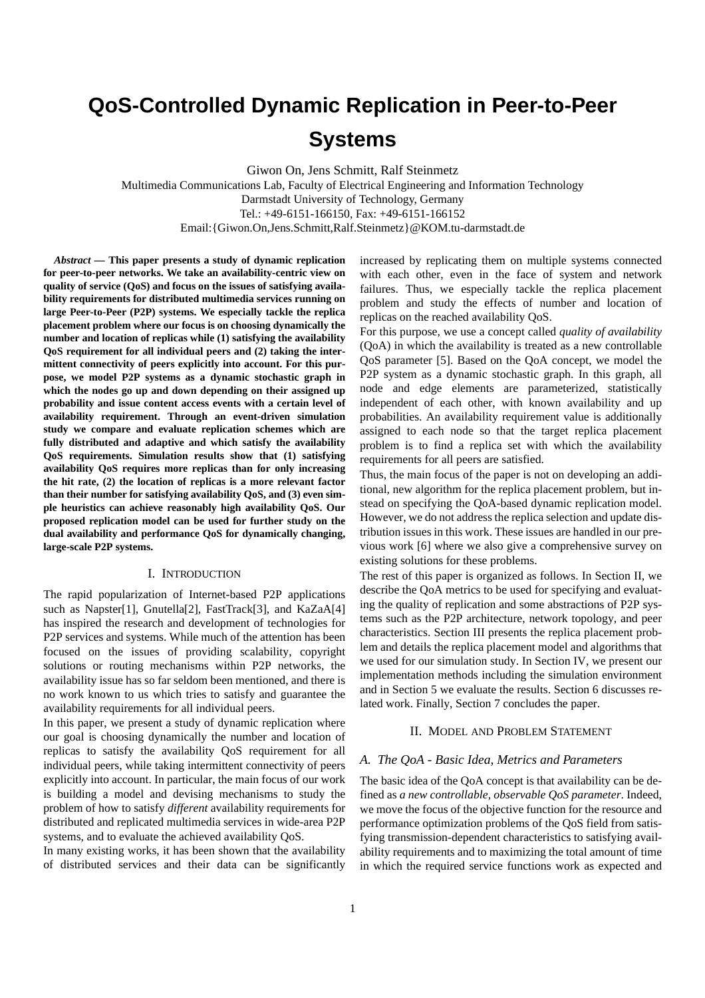# **QoS-Controlled Dynamic Replication in Peer-to-Peer Systems**

Giwon On, Jens Schmitt, Ralf Steinmetz

Multimedia Communications Lab, Faculty of Electrical Engineering and Information Technology Darmstadt University of Technology, Germany Tel.: +49-6151-166150, Fax: +49-6151-166152 Email:{Giwon.On,Jens.Schmitt,Ralf.Steinmetz}@KOM.tu-darmstadt.de

*Abstract —* **This paper presents a study of dynamic replication for peer-to-peer networks. We take an availability-centric view on quality of service (QoS) and focus on the issues of satisfying availability requirements for distributed multimedia services running on large Peer-to-Peer (P2P) systems. We especially tackle the replica placement problem where our focus is on choosing dynamically the number and location of replicas while (1) satisfying the availability QoS requirement for all individual peers and (2) taking the intermittent connectivity of peers explicitly into account. For this purpose, we model P2P systems as a dynamic stochastic graph in which the nodes go up and down depending on their assigned up probability and issue content access events with a certain level of availability requirement. Through an event-driven simulation study we compare and evaluate replication schemes which are fully distributed and adaptive and which satisfy the availability QoS requirements. Simulation results show that (1) satisfying availability QoS requires more replicas than for only increasing the hit rate, (2) the location of replicas is a more relevant factor than their number for satisfying availability QoS, and (3) even simple heuristics can achieve reasonably high availability QoS. Our proposed replication model can be used for further study on the dual availability and performance QoS for dynamically changing, large-scale P2P systems.**

#### I. INTRODUCTION

The rapid popularization of Internet-based P2P applications such as Napster[1], Gnutella[2], FastTrack[3], and KaZaA[4] has inspired the research and development of technologies for P2P services and systems. While much of the attention has been focused on the issues of providing scalability, copyright solutions or routing mechanisms within P2P networks, the availability issue has so far seldom been mentioned, and there is no work known to us which tries to satisfy and guarantee the availability requirements for all individual peers.

In this paper, we present a study of dynamic replication where our goal is choosing dynamically the number and location of replicas to satisfy the availability QoS requirement for all individual peers, while taking intermittent connectivity of peers explicitly into account. In particular, the main focus of our work is building a model and devising mechanisms to study the problem of how to satisfy *different* availability requirements for distributed and replicated multimedia services in wide-area P2P systems, and to evaluate the achieved availability QoS.

In many existing works, it has been shown that the availability of distributed services and their data can be significantly

increased by replicating them on multiple systems connected with each other, even in the face of system and network failures. Thus, we especially tackle the replica placement problem and study the effects of number and location of replicas on the reached availability QoS.

For this purpose, we use a concept called *quality of availability* (QoA) in which the availability is treated as a new controllable QoS parameter [5]. Based on the QoA concept, we model the P2P system as a dynamic stochastic graph. In this graph, all node and edge elements are parameterized, statistically independent of each other, with known availability and up probabilities. An availability requirement value is additionally assigned to each node so that the target replica placement problem is to find a replica set with which the availability requirements for all peers are satisfied.

Thus, the main focus of the paper is not on developing an additional, new algorithm for the replica placement problem, but instead on specifying the QoA-based dynamic replication model. However, we do not address the replica selection and update distribution issues in this work. These issues are handled in our previous work [6] where we also give a comprehensive survey on existing solutions for these problems.

The rest of this paper is organized as follows. In Section II, we describe the QoA metrics to be used for specifying and evaluating the quality of replication and some abstractions of P2P systems such as the P2P architecture, network topology, and peer characteristics. Section III presents the replica placement problem and details the replica placement model and algorithms that we used for our simulation study. In Section IV, we present our implementation methods including the simulation environment and in Section 5 we evaluate the results. Section 6 discusses related work. Finally, Section 7 concludes the paper.

#### II. MODEL AND PROBLEM STATEMENT

# *A. The QoA - Basic Idea, Metrics and Parameters*

The basic idea of the QoA concept is that availability can be defined as *a new controllable, observable QoS parameter*. Indeed, we move the focus of the objective function for the resource and performance optimization problems of the QoS field from satisfying transmission-dependent characteristics to satisfying availability requirements and to maximizing the total amount of time in which the required service functions work as expected and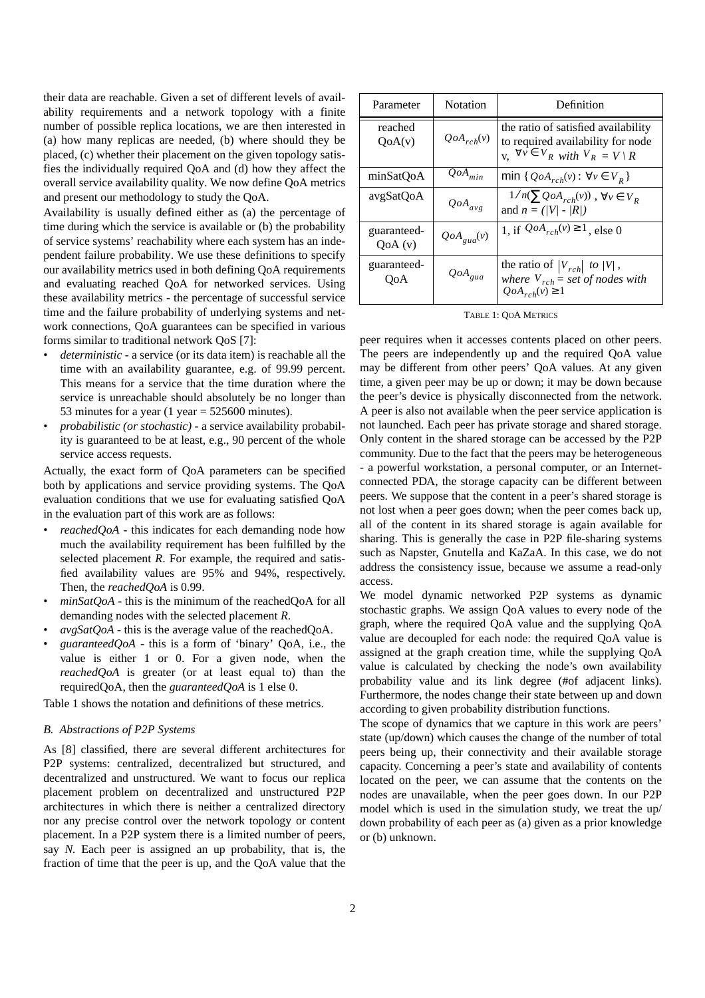their data are reachable. Given a set of different levels of availability requirements and a network topology with a finite number of possible replica locations, we are then interested in (a) how many replicas are needed, (b) where should they be placed, (c) whether their placement on the given topology satisfies the individually required QoA and (d) how they affect the overall service availability quality. We now define QoA metrics and present our methodology to study the QoA.

Availability is usually defined either as (a) the percentage of time during which the service is available or (b) the probability of service systems' reachability where each system has an independent failure probability. We use these definitions to specify our availability metrics used in both defining QoA requirements and evaluating reached QoA for networked services. Using these availability metrics - the percentage of successful service time and the failure probability of underlying systems and network connections, QoA guarantees can be specified in various forms similar to traditional network QoS [7]:

- *deterministic* a service (or its data item) is reachable all the time with an availability guarantee, e.g. of 99.99 percent. This means for a service that the time duration where the service is unreachable should absolutely be no longer than 53 minutes for a year (1 year =  $525600$  minutes).
- *probabilistic (or stochastic)* a service availability probability is guaranteed to be at least, e.g., 90 percent of the whole service access requests.

Actually, the exact form of QoA parameters can be specified both by applications and service providing systems. The QoA evaluation conditions that we use for evaluating satisfied QoA in the evaluation part of this work are as follows:

- *reachedQoA* this indicates for each demanding node how much the availability requirement has been fulfilled by the selected placement *R*. For example, the required and satisfied availability values are 95% and 94%, respectively. Then, the *reachedQoA* is 0.99.
- $minSatQoA$  this is the minimum of the reached QoA for all demanding nodes with the selected placement *R*.
- *avgSatQoA* this is the average value of the reachedQoA.
- *guaranteedQoA* this is a form of 'binary' QoA, i.e., the value is either 1 or 0. For a given node, when the *reachedQoA* is greater (or at least equal to) than the requiredQoA, then the *guaranteedQoA* is 1 else 0.

Table 1 shows the notation and definitions of these metrics.

# *B. Abstractions of P2P Systems*

As [8] classified, there are several different architectures for P2P systems: centralized, decentralized but structured, and decentralized and unstructured. We want to focus our replica placement problem on decentralized and unstructured P2P architectures in which there is neither a centralized directory nor any precise control over the network topology or content placement. In a P2P system there is a limited number of peers, say *N.* Each peer is assigned an up probability*,* that is, the fraction of time that the peer is up, and the QoA value that the

| Parameter             | Notation              | Definition                                                                                                                     |
|-----------------------|-----------------------|--------------------------------------------------------------------------------------------------------------------------------|
| reached<br>QoA(v)     | $QoA_{rch}(v)$        | the ratio of satisfied availability<br>to required availability for node<br>$V, \forall v \in V_R$ with $V_R = V \backslash R$ |
| minSatQoA             | $QoA_{min}$           | min $\{QoA_{rch}(v): \forall v \in V_R\}$                                                                                      |
| avgSatQoA             | $QoA_{avg}$           | $1/n(\sum Q \circ A_{rch}(v))$ , $\forall v \in V_R$<br>and $n = ( V  -  R )$                                                  |
| guaranteed-<br>QoA(v) | $QoA_{\text{gua}}(v)$ | 1, if $Q \circ A_{rch}(v) \ge 1$ , else 0                                                                                      |
| guaranteed-<br>OoA    | $QoA_{gua}$           | the ratio of $ V_{rch} $ to $ V $ ,<br>where $V_{rch}$ = set of nodes with<br>$QoA_{rch}(v) \geq 1$                            |

TABLE 1: QOA METRICS

peer requires when it accesses contents placed on other peers. The peers are independently up and the required QoA value may be different from other peers' QoA values. At any given time, a given peer may be up or down; it may be down because the peer's device is physically disconnected from the network. A peer is also not available when the peer service application is not launched. Each peer has private storage and shared storage. Only content in the shared storage can be accessed by the P2P community. Due to the fact that the peers may be heterogeneous - a powerful workstation, a personal computer, or an Internetconnected PDA, the storage capacity can be different between peers. We suppose that the content in a peer's shared storage is not lost when a peer goes down; when the peer comes back up, all of the content in its shared storage is again available for sharing. This is generally the case in P2P file-sharing systems such as Napster, Gnutella and KaZaA. In this case, we do not address the consistency issue, because we assume a read-only access.

We model dynamic networked P2P systems as dynamic stochastic graphs. We assign QoA values to every node of the graph, where the required QoA value and the supplying QoA value are decoupled for each node: the required QoA value is assigned at the graph creation time, while the supplying QoA value is calculated by checking the node's own availability probability value and its link degree (#of adjacent links). Furthermore, the nodes change their state between up and down according to given probability distribution functions.

The scope of dynamics that we capture in this work are peers' state (up/down) which causes the change of the number of total peers being up, their connectivity and their available storage capacity. Concerning a peer's state and availability of contents located on the peer, we can assume that the contents on the nodes are unavailable, when the peer goes down. In our P2P model which is used in the simulation study, we treat the up/ down probability of each peer as (a) given as a prior knowledge or (b) unknown.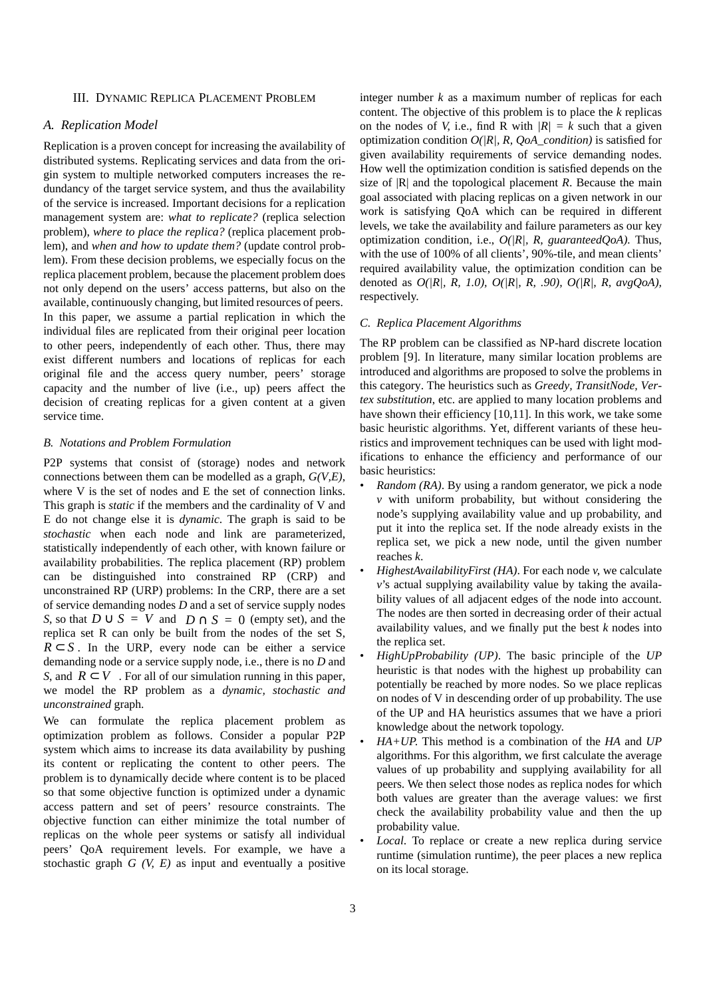# III. DYNAMIC REPLICA PLACEMENT PROBLEM

## *A. Replication Model*

Replication is a proven concept for increasing the availability of distributed systems. Replicating services and data from the origin system to multiple networked computers increases the redundancy of the target service system, and thus the availability of the service is increased. Important decisions for a replication management system are: *what to replicate?* (replica selection problem), where to place the replica? (replica placement problem), and *when and how to update them?* (update control problem). From these decision problems, we especially focus on the replica placement problem, because the placement problem does not only depend on the users' access patterns, but also on the available, continuously changing, but limited resources of peers. In this paper, we assume a partial replication in which the individual files are replicated from their original peer location to other peers, independently of each other. Thus, there may exist different numbers and locations of replicas for each original file and the access query number, peers' storage capacity and the number of live (i.e., up) peers affect the decision of creating replicas for a given content at a given service time.

## *B. Notations and Problem Formulation*

P2P systems that consist of (storage) nodes and network connections between them can be modelled as a graph, *G(V,E)*, where V is the set of nodes and E the set of connection links. This graph is *static* if the members and the cardinality of V and E do not change else it is *dynamic*. The graph is said to be *stochastic* when each node and link are parameterized, statistically independently of each other, with known failure or availability probabilities. The replica placement (RP) problem can be distinguished into constrained RP (CRP) and unconstrained RP (URP) problems: In the CRP, there are a set of service demanding nodes *D* and a set of service supply nodes *S*, so that  $D \cup S = V$  and  $D \cap S = 0$  (empty set), and the replica set R can only be built from the nodes of the set S,  $R \subset S$ . In the URP, every node can be either a service demanding node or a service supply node, i.e., there is no *D* and *S*, and  $R \subset V$ . For all of our simulation running in this paper, we model the RP problem as a *dynamic, stochastic and unconstrained* graph.

We can formulate the replica placement problem as optimization problem as follows. Consider a popular P2P system which aims to increase its data availability by pushing its content or replicating the content to other peers. The problem is to dynamically decide where content is to be placed so that some objective function is optimized under a dynamic access pattern and set of peers' resource constraints. The objective function can either minimize the total number of replicas on the whole peer systems or satisfy all individual peers' QoA requirement levels. For example, we have a stochastic graph *G (V, E)* as input and eventually a positive

integer number *k* as a maximum number of replicas for each content. The objective of this problem is to place the *k* replicas on the nodes of *V*, i.e., find R with  $|R| = k$  such that a given optimization condition *O(|R|, R, QoA\_condition)* is satisfied for given availability requirements of service demanding nodes. How well the optimization condition is satisfied depends on the size of  $|R|$  and the topological placement  $R$ . Because the main goal associated with placing replicas on a given network in our work is satisfying QoA which can be required in different levels, we take the availability and failure parameters as our key optimization condition, i.e., *O(|R|, R, guaranteedQoA).* Thus, with the use of 100% of all clients', 90%-tile, and mean clients' required availability value, the optimization condition can be denoted as *O(|R|, R, 1.0), O(|R|, R, .90), O(|R|, R, avgQoA),* respectively.

## *C. Replica Placement Algorithms*

The RP problem can be classified as NP-hard discrete location problem [9]. In literature, many similar location problems are introduced and algorithms are proposed to solve the problems in this category. The heuristics such as *Greedy, TransitNode, Vertex substitution*, etc. are applied to many location problems and have shown their efficiency [10,11]. In this work, we take some basic heuristic algorithms. Yet, different variants of these heuristics and improvement techniques can be used with light modifications to enhance the efficiency and performance of our basic heuristics:

- *Random (RA)*. By using a random generator, we pick a node *v* with uniform probability, but without considering the node's supplying availability value and up probability, and put it into the replica set. If the node already exists in the replica set, we pick a new node, until the given number reaches *k*.
- *HighestAvailabilityFirst (HA)*. For each node *v*, we calculate *v*'s actual supplying availability value by taking the availability values of all adjacent edges of the node into account. The nodes are then sorted in decreasing order of their actual availability values, and we finally put the best *k* nodes into the replica set.
- *HighUpProbability (UP)*. The basic principle of the *UP* heuristic is that nodes with the highest up probability can potentially be reached by more nodes. So we place replicas on nodes of V in descending order of up probability. The use of the UP and HA heuristics assumes that we have a priori knowledge about the network topology.
- *HA+UP*. This method is a combination of the *HA* and *UP* algorithms. For this algorithm, we first calculate the average values of up probability and supplying availability for all peers. We then select those nodes as replica nodes for which both values are greater than the average values: we first check the availability probability value and then the up probability value.
- Local. To replace or create a new replica during service runtime (simulation runtime), the peer places a new replica on its local storage.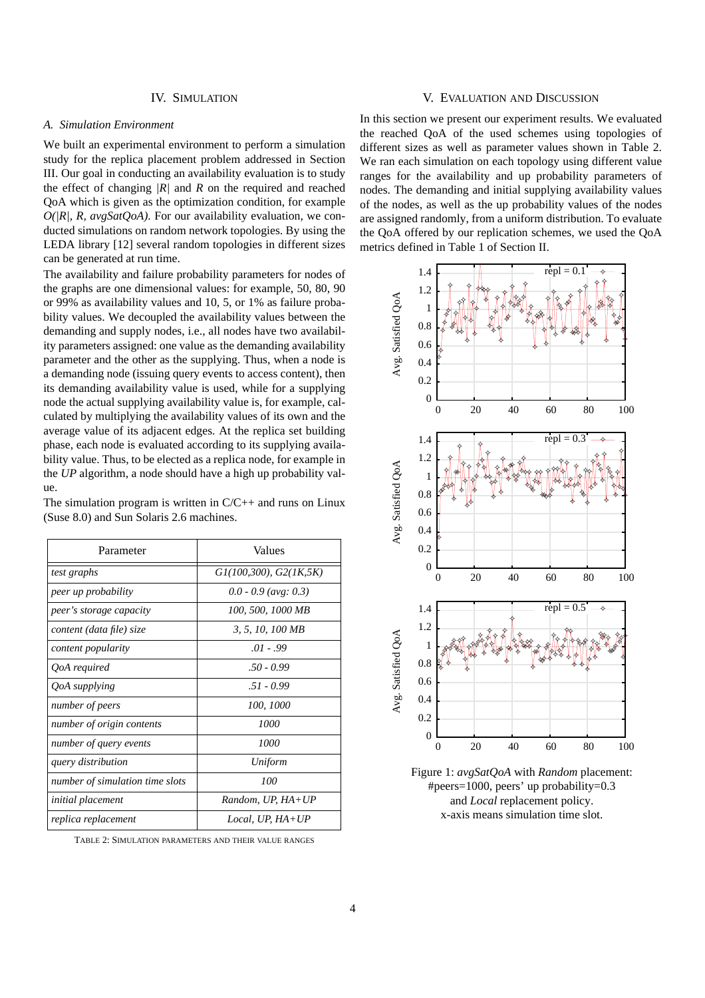## IV. SIMULATION

## *A. Simulation Environment*

We built an experimental environment to perform a simulation study for the replica placement problem addressed in Section III. Our goal in conducting an availability evaluation is to study the effect of changing *|R|* and *R* on the required and reached QoA which is given as the optimization condition, for example *O(|R|, R, avgSatQoA)*. For our availability evaluation, we conducted simulations on random network topologies. By using the LEDA library [12] several random topologies in different sizes can be generated at run time.

The availability and failure probability parameters for nodes of the graphs are one dimensional values: for example, 50, 80, 90 or 99% as availability values and 10, 5, or 1% as failure probability values. We decoupled the availability values between the demanding and supply nodes, i.e., all nodes have two availability parameters assigned: one value as the demanding availability parameter and the other as the supplying. Thus, when a node is a demanding node (issuing query events to access content), then its demanding availability value is used, while for a supplying node the actual supplying availability value is, for example, calculated by multiplying the availability values of its own and the average value of its adjacent edges. At the replica set building phase, each node is evaluated according to its supplying availability value. Thus, to be elected as a replica node, for example in the *UP* algorithm, a node should have a high up probability value.

| Parameter                       | Values                      |
|---------------------------------|-----------------------------|
| test graphs                     | $GI(100,300)$ , $G2(1K,5K)$ |
| <i>peer up probability</i>      | $0.0 - 0.9$ (avg. 0.3)      |
| peer's storage capacity         | 100, 500, 1000 MB           |
| content (data file) size        | 3, 5, 10, 100 MB            |
| <i>content popularity</i>       | $.01 - .99$                 |
| <i><b>OoA</b></i> required      | $.50 - 0.99$                |
| <i><b>OoA</b></i> supplying     | $.51 - 0.99$                |
| number of peers                 | 100, 1000                   |
| number of origin contents       | 1000                        |
| number of query events          | 1000                        |
| query distribution              | Uniform                     |
| number of simulation time slots | 100                         |
| <i>initial placement</i>        | Random, UP, HA+UP           |
| replica replacement             | Local, UP, HA+UP            |

The simulation program is written in  $C/C++$  and runs on Linux (Suse 8.0) and Sun Solaris 2.6 machines.

TABLE 2: SIMULATION PARAMETERS AND THEIR VALUE RANGES

#### V. EVALUATION AND DISCUSSION

In this section we present our experiment results. We evaluated the reached QoA of the used schemes using topologies of different sizes as well as parameter values shown in Table 2. We ran each simulation on each topology using different value ranges for the availability and up probability parameters of nodes. The demanding and initial supplying availability values of the nodes, as well as the up probability values of the nodes are assigned randomly, from a uniform distribution. To evaluate the QoA offered by our replication schemes, we used the QoA metrics defined in Table 1 of Section II.



Figure 1: *avgSatQoA* with *Random* placement: #peers=1000, peers' up probability=0.3 and *Local* replacement policy. x-axis means simulation time slot.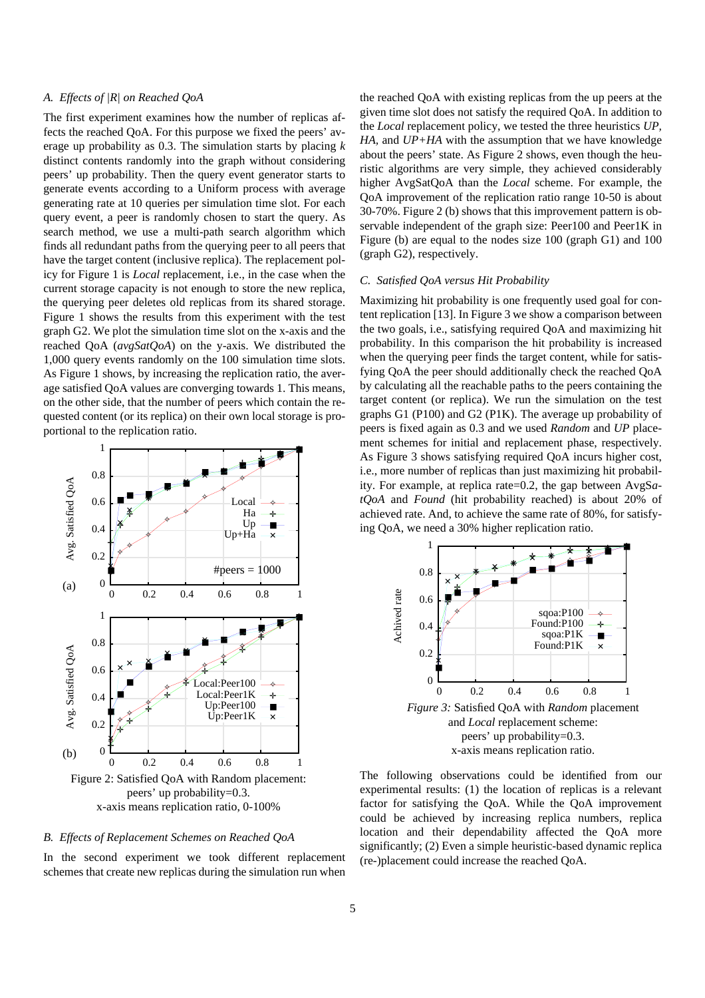# *A. Effects of |R| on Reached QoA*

The first experiment examines how the number of replicas affects the reached QoA. For this purpose we fixed the peers' average up probability as 0.3. The simulation starts by placing *k* distinct contents randomly into the graph without considering peers' up probability. Then the query event generator starts to generate events according to a Uniform process with average generating rate at 10 queries per simulation time slot. For each query event, a peer is randomly chosen to start the query. As search method, we use a multi-path search algorithm which finds all redundant paths from the querying peer to all peers that have the target content (inclusive replica). The replacement policy for Figure 1 is *Local* replacement, i.e., in the case when the current storage capacity is not enough to store the new replica, the querying peer deletes old replicas from its shared storage. Figure 1 shows the results from this experiment with the test graph G2. We plot the simulation time slot on the x-axis and the reached QoA (*avgSatQoA*) on the y-axis. We distributed the 1,000 query events randomly on the 100 simulation time slots. As Figure 1 shows, by increasing the replication ratio, the average satisfied QoA values are converging towards 1. This means, on the other side, that the number of peers which contain the requested content (or its replica) on their own local storage is proportional to the replication ratio.



#### *B. Effects of Replacement Schemes on Reached QoA*

In the second experiment we took different replacement schemes that create new replicas during the simulation run when the reached QoA with existing replicas from the up peers at the given time slot does not satisfy the required QoA. In addition to the *Local* replacement policy, we tested the three heuristics *UP, HA,* and *UP+HA* with the assumption that we have knowledge about the peers' state. As Figure 2 shows, even though the heuristic algorithms are very simple, they achieved considerably higher AvgSatQoA than the *Local* scheme. For example, the QoA improvement of the replication ratio range 10-50 is about 30-70%. Figure 2 (b) shows that this improvement pattern is observable independent of the graph size: Peer100 and Peer1K in Figure (b) are equal to the nodes size 100 (graph G1) and 100 (graph G2), respectively.

## *C. Satisfied QoA versus Hit Probability*

Maximizing hit probability is one frequently used goal for content replication [13]. In Figure 3 we show a comparison between the two goals, i.e., satisfying required QoA and maximizing hit probability. In this comparison the hit probability is increased when the querying peer finds the target content, while for satisfying QoA the peer should additionally check the reached QoA by calculating all the reachable paths to the peers containing the target content (or replica). We run the simulation on the test graphs G1 (P100) and G2 (P1K). The average up probability of peers is fixed again as 0.3 and we used *Random* and *UP* placement schemes for initial and replacement phase, respectively. As Figure 3 shows satisfying required QoA incurs higher cost, i.e., more number of replicas than just maximizing hit probability. For example, at replica rate=0.2, the gap between AvgS*atQoA* and *Found* (hit probability reached) is about 20% of achieved rate. And, to achieve the same rate of 80%, for satisfying QoA, we need a 30% higher replication ratio.



The following observations could be identified from our experimental results: (1) the location of replicas is a relevant factor for satisfying the QoA. While the QoA improvement could be achieved by increasing replica numbers, replica location and their dependability affected the QoA more significantly; (2) Even a simple heuristic-based dynamic replica (re-)placement could increase the reached QoA.